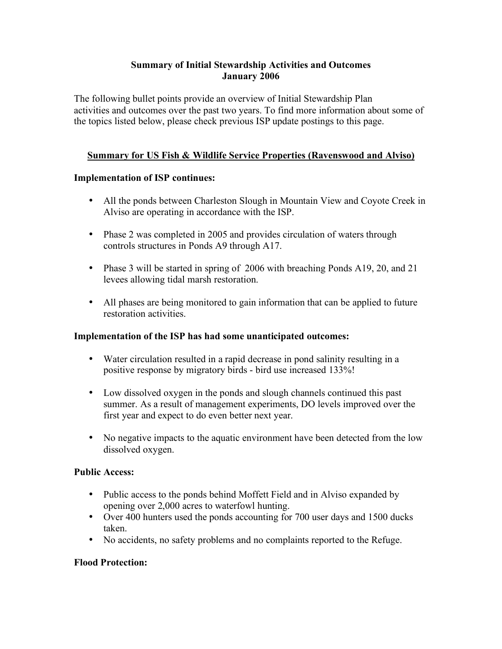### **Summary of Initial Stewardship Activities and Outcomes January 2006**

The following bullet points provide an overview of Initial Stewardship Plan activities and outcomes over the past two years. To find more information about some of the topics listed below, please check previous ISP update postings to this page.

## **Summary for US Fish & Wildlife Service Properties (Ravenswood and Alviso)**

### **Implementation of ISP continues:**

- All the ponds between Charleston Slough in Mountain View and Coyote Creek in Alviso are operating in accordance with the ISP.
- Phase 2 was completed in 2005 and provides circulation of waters through controls structures in Ponds A9 through A17.
- Phase 3 will be started in spring of 2006 with breaching Ponds A19, 20, and 21 levees allowing tidal marsh restoration.
- All phases are being monitored to gain information that can be applied to future restoration activities.

### **Implementation of the ISP has had some unanticipated outcomes:**

- Water circulation resulted in a rapid decrease in pond salinity resulting in a positive response by migratory birds - bird use increased 133%!
- Low dissolved oxygen in the ponds and slough channels continued this past summer. As a result of management experiments, DO levels improved over the first year and expect to do even better next year.
- No negative impacts to the aquatic environment have been detected from the low dissolved oxygen.

## **Public Access:**

- Public access to the ponds behind Moffett Field and in Alviso expanded by opening over 2,000 acres to waterfowl hunting.
- Over 400 hunters used the ponds accounting for 700 user days and 1500 ducks taken.
- No accidents, no safety problems and no complaints reported to the Refuge.

### **Flood Protection:**